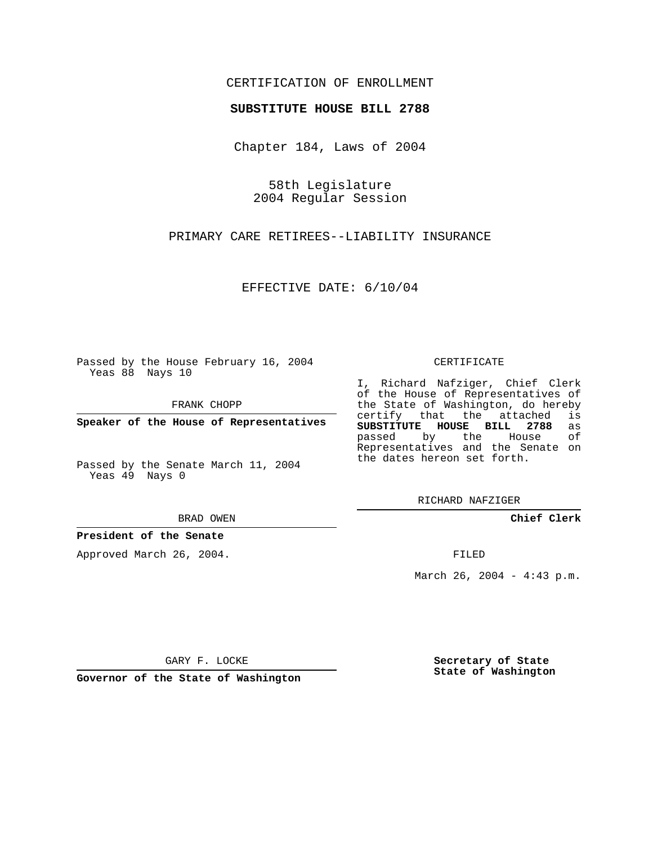# CERTIFICATION OF ENROLLMENT

#### **SUBSTITUTE HOUSE BILL 2788**

Chapter 184, Laws of 2004

58th Legislature 2004 Regular Session

PRIMARY CARE RETIREES--LIABILITY INSURANCE

EFFECTIVE DATE: 6/10/04

Passed by the House February 16, 2004 Yeas 88 Nays 10

FRANK CHOPP

**Speaker of the House of Representatives**

Passed by the Senate March 11, 2004 Yeas 49 Nays 0

BRAD OWEN

### **President of the Senate**

Approved March 26, 2004.

CERTIFICATE

I, Richard Nafziger, Chief Clerk of the House of Representatives of the State of Washington, do hereby<br>certify that the attached is certify that the attached **SUBSTITUTE HOUSE BILL 2788** as passed by the Representatives and the Senate on the dates hereon set forth.

RICHARD NAFZIGER

**Chief Clerk**

FILED

March 26, 2004 - 4:43 p.m.

GARY F. LOCKE

**Governor of the State of Washington**

**Secretary of State State of Washington**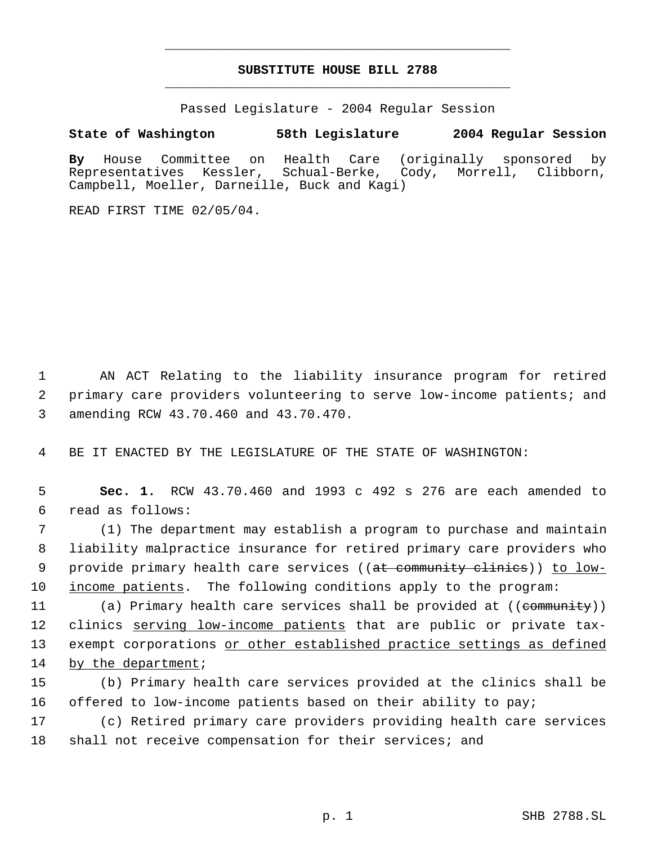# **SUBSTITUTE HOUSE BILL 2788** \_\_\_\_\_\_\_\_\_\_\_\_\_\_\_\_\_\_\_\_\_\_\_\_\_\_\_\_\_\_\_\_\_\_\_\_\_\_\_\_\_\_\_\_\_

\_\_\_\_\_\_\_\_\_\_\_\_\_\_\_\_\_\_\_\_\_\_\_\_\_\_\_\_\_\_\_\_\_\_\_\_\_\_\_\_\_\_\_\_\_

Passed Legislature - 2004 Regular Session

## **State of Washington 58th Legislature 2004 Regular Session**

**By** House Committee on Health Care (originally sponsored by Representatives Kessler, Schual-Berke, Cody, Morrell, Clibborn, Campbell, Moeller, Darneille, Buck and Kagi)

READ FIRST TIME 02/05/04.

 1 AN ACT Relating to the liability insurance program for retired 2 primary care providers volunteering to serve low-income patients; and 3 amending RCW 43.70.460 and 43.70.470.

4 BE IT ENACTED BY THE LEGISLATURE OF THE STATE OF WASHINGTON:

 5 **Sec. 1.** RCW 43.70.460 and 1993 c 492 s 276 are each amended to 6 read as follows:

 (1) The department may establish a program to purchase and maintain liability malpractice insurance for retired primary care providers who 9 provide primary health care services ((at community clinics)) to low-income patients. The following conditions apply to the program:

11 (a) Primary health care services shall be provided at ((community)) 12 clinics serving low-income patients that are public or private tax-13 exempt corporations or other established practice settings as defined 14 by the department;

15 (b) Primary health care services provided at the clinics shall be 16 offered to low-income patients based on their ability to pay;

17 (c) Retired primary care providers providing health care services 18 shall not receive compensation for their services; and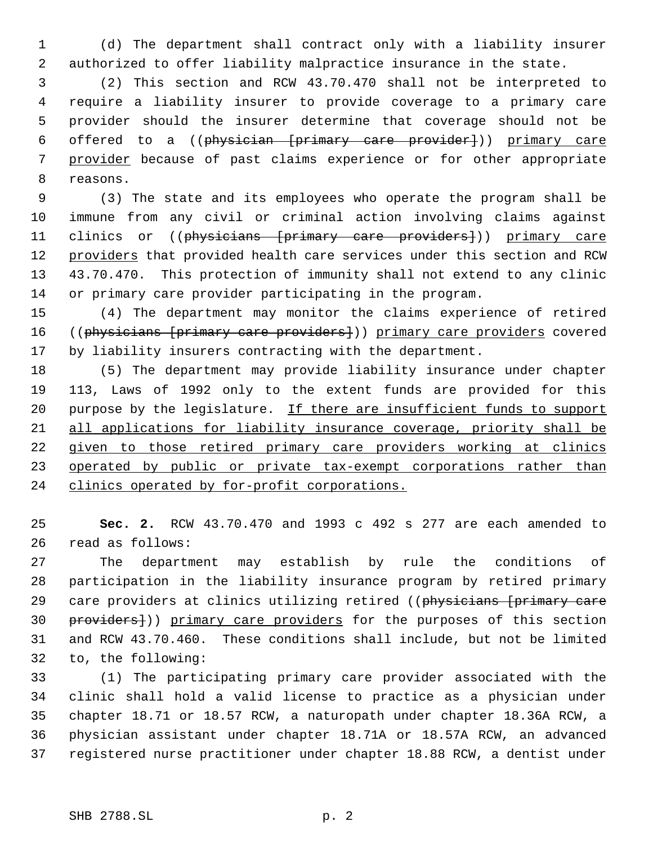(d) The department shall contract only with a liability insurer authorized to offer liability malpractice insurance in the state.

 (2) This section and RCW 43.70.470 shall not be interpreted to require a liability insurer to provide coverage to a primary care provider should the insurer determine that coverage should not be offered to a ((physician [primary care provider])) primary care provider because of past claims experience or for other appropriate reasons.

 (3) The state and its employees who operate the program shall be immune from any civil or criminal action involving claims against 11 clinics or ((physicians [primary care providers])) primary care 12 providers that provided health care services under this section and RCW 43.70.470. This protection of immunity shall not extend to any clinic or primary care provider participating in the program.

 (4) The department may monitor the claims experience of retired 16 ((physicians [primary care providers])) primary care providers covered by liability insurers contracting with the department.

 (5) The department may provide liability insurance under chapter 113, Laws of 1992 only to the extent funds are provided for this 20 purpose by the legislature. If there are insufficient funds to support all applications for liability insurance coverage, priority shall be 22 given to those retired primary care providers working at clinics 23 operated by public or private tax-exempt corporations rather than clinics operated by for-profit corporations.

 **Sec. 2.** RCW 43.70.470 and 1993 c 492 s 277 are each amended to read as follows:

 The department may establish by rule the conditions of participation in the liability insurance program by retired primary 29 care providers at clinics utilizing retired ((physicians [primary care 30 providers])) primary care providers for the purposes of this section and RCW 43.70.460. These conditions shall include, but not be limited to, the following:

 (1) The participating primary care provider associated with the clinic shall hold a valid license to practice as a physician under chapter 18.71 or 18.57 RCW, a naturopath under chapter 18.36A RCW, a physician assistant under chapter 18.71A or 18.57A RCW, an advanced registered nurse practitioner under chapter 18.88 RCW, a dentist under